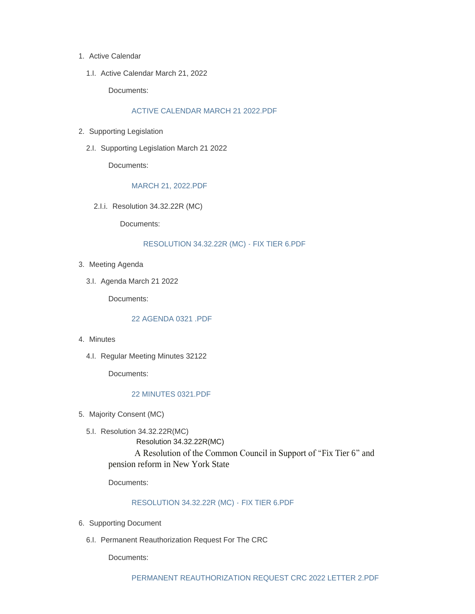- 1. Active Calendar
	- 1.I. Active Calendar March 21, 2022

Documents:

# [ACTIVE CALENDAR MARCH 21 2022.PDF](https://www.albanyny.gov/AgendaCenter/ViewFile/Item/989?fileID=3797)

- 2. Supporting Legislation
	- 2.I. Supporting Legislation March 21 2022

Documents:

### [MARCH 21, 2022.PDF](https://www.albanyny.gov/AgendaCenter/ViewFile/Item/991?fileID=3799)

2.I.i. Resolution 34.32.22R (MC)

Documents:

#### [RESOLUTION 34.32.22R \(MC\) - FIX TIER 6.PDF](https://www.albanyny.gov/AgendaCenter/ViewFile/Item/1001?fileID=3801)

- 3. Meeting Agenda
	- 3.I. Agenda March 21 2022

Documents:

# [22 AGENDA 0321 .PDF](https://www.albanyny.gov/AgendaCenter/ViewFile/Item/990?fileID=3798)

- 4. Minutes
	- 4.I. Regular Meeting Minutes 32122

Documents:

## [22 MINUTES 0321.PDF](https://www.albanyny.gov/AgendaCenter/ViewFile/Item/1028?fileID=3871)

- 5. Majority Consent (MC)
	- 5.I. Resolution 34.32.22R(MC)

Resolution 34.32.22R(MC)

 A Resolution of the Common Council in Support of "Fix Tier 6" and pension reform in New York State

Documents:

### [RESOLUTION 34.32.22R \(MC\) -](https://www.albanyny.gov/AgendaCenter/ViewFile/Item/1004?fileID=3804) FIX TIER 6.PDF

- 6. Supporting Document
	- 6.I. Permanent Reauthorization Request For The CRC

Documents: